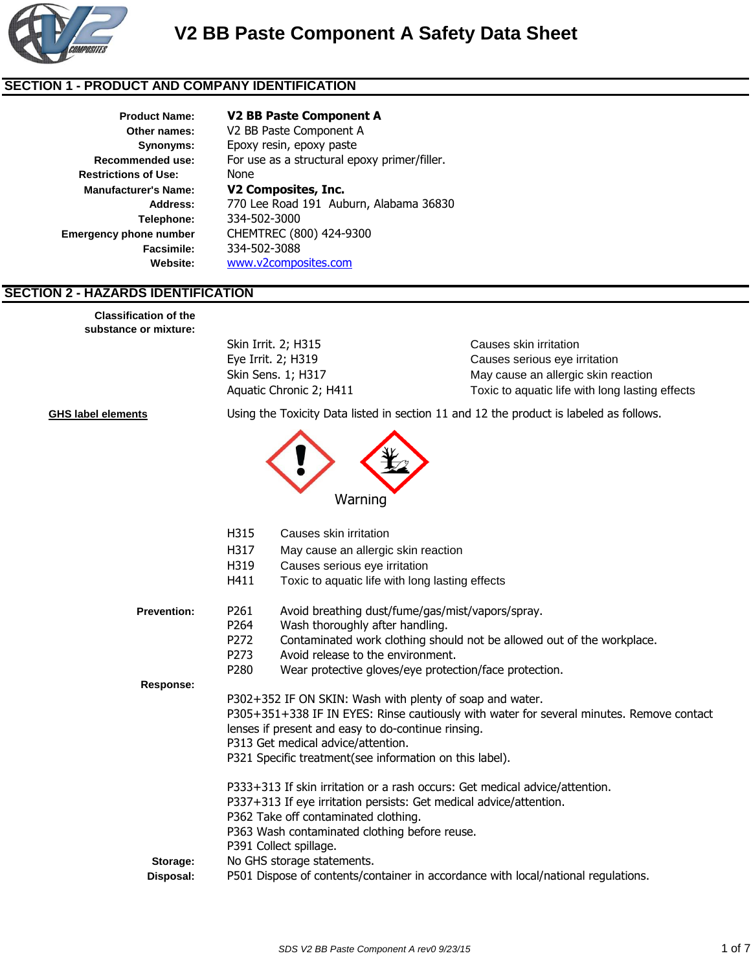

### **SECTION 1 - PRODUCT AND COMPANY IDENTIFICATION**

**Recommended use: Synonyms: Restrictions of Use:**

### **Product Name: V2 BB Paste Component A**

**Other names:** V2 BB Paste Component A Epoxy resin, epoxy paste None **Manufacturer's Name: V2 Composites, Inc. Address:** 770 Lee Road 191 Auburn, Alabama 36830 **Telephone:** 334-502-3000 **Emergency phone number** CHEMTREC (800) 424-9300 **Facsimile:** 334-502-3088 **Website:** www.v2composites.com For use as a structural epoxy primer/filler.

### **SECTION 2 - HAZARDS IDENTIFICATION**

**Classification of the substance or mixture:**

Skin Irrit. 2; H315 Causes skin irritation

Eye Irrit. 2; H319 Causes serious eye irritation Skin Sens. 1; H317 May cause an allergic skin reaction Aquatic Chronic 2; H411 Toxic to aquatic life with long lasting effects

**GHS label elements** Using the Toxicity Data listed in section 11 and 12 the product is labeled as follows.



|                    | H315<br>H317<br>H319<br>H411                                                         | Causes skin irritation<br>May cause an allergic skin reaction<br>Causes serious eye irritation<br>Toxic to aquatic life with long lasting effects                                                                                                                                                            |
|--------------------|--------------------------------------------------------------------------------------|--------------------------------------------------------------------------------------------------------------------------------------------------------------------------------------------------------------------------------------------------------------------------------------------------------------|
| <b>Prevention:</b> | P <sub>261</sub><br>P <sub>264</sub><br>P <sub>272</sub><br>P273<br>P <sub>280</sub> | Avoid breathing dust/fume/gas/mist/vapors/spray.<br>Wash thoroughly after handling.<br>Contaminated work clothing should not be allowed out of the workplace.<br>Avoid release to the environment.<br>Wear protective gloves/eye protection/face protection.                                                 |
| Response:          |                                                                                      | P302+352 IF ON SKIN: Wash with plenty of soap and water.<br>P305+351+338 IF IN EYES: Rinse cautiously with water for several minutes. Remove contact<br>lenses if present and easy to do-continue rinsing.<br>P313 Get medical advice/attention.<br>P321 Specific treatment (see information on this label). |
| Storage:           |                                                                                      | P333+313 If skin irritation or a rash occurs: Get medical advice/attention.<br>P337+313 If eye irritation persists: Get medical advice/attention.<br>P362 Take off contaminated clothing.<br>P363 Wash contaminated clothing before reuse.<br>P391 Collect spillage.<br>No GHS storage statements.           |
| Disposal:          |                                                                                      | P501 Dispose of contents/container in accordance with local/national regulations.                                                                                                                                                                                                                            |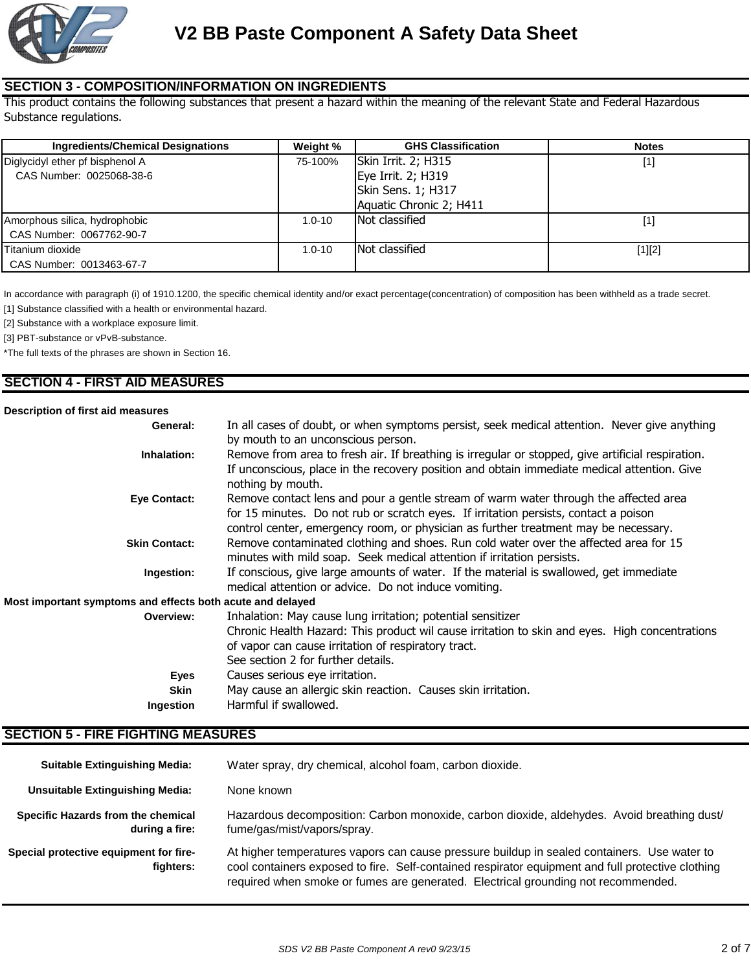

### **SECTION 3 - COMPOSITION/INFORMATION ON INGREDIENTS**

This product contains the following substances that present a hazard within the meaning of the relevant State and Federal Hazardous Substance regulations.

| <b>Ingredients/Chemical Designations</b> | Weight %   | <b>GHS Classification</b> | <b>Notes</b> |
|------------------------------------------|------------|---------------------------|--------------|
| Diglycidyl ether pf bisphenol A          | 75-100%    | Skin Irrit. 2; H315       | [1]          |
| CAS Number: 0025068-38-6                 |            | Eye Irrit. 2; H319        |              |
|                                          |            | Skin Sens. 1; H317        |              |
|                                          |            | Aquatic Chronic 2; H411   |              |
| Amorphous silica, hydrophobic            | $1.0 - 10$ | Not classified            | [1           |
| CAS Number: 0067762-90-7                 |            |                           |              |
| Titanium dioxide                         | $1.0 - 10$ | Not classified            | $[1][2]$     |
| CAS Number: 0013463-67-7                 |            |                           |              |

In accordance with paragraph (i) of 1910.1200, the specific chemical identity and/or exact percentage(concentration) of composition has been withheld as a trade secret.

[1] Substance classified with a health or environmental hazard.

[2] Substance with a workplace exposure limit.

[3] PBT-substance or vPvB-substance.

\*The full texts of the phrases are shown in Section 16.

### **SECTION 4 - FIRST AID MEASURES**

#### **Description of first aid measures**

| Description of hist ald measures                           |                                                                                                                                                                                                                                                                     |
|------------------------------------------------------------|---------------------------------------------------------------------------------------------------------------------------------------------------------------------------------------------------------------------------------------------------------------------|
| General:                                                   | In all cases of doubt, or when symptoms persist, seek medical attention. Never give anything<br>by mouth to an unconscious person.                                                                                                                                  |
| Inhalation:                                                | Remove from area to fresh air. If breathing is irregular or stopped, give artificial respiration.<br>If unconscious, place in the recovery position and obtain immediate medical attention. Give<br>nothing by mouth.                                               |
| <b>Eye Contact:</b>                                        | Remove contact lens and pour a gentle stream of warm water through the affected area<br>for 15 minutes. Do not rub or scratch eyes. If irritation persists, contact a poison<br>control center, emergency room, or physician as further treatment may be necessary. |
| <b>Skin Contact:</b>                                       | Remove contaminated clothing and shoes. Run cold water over the affected area for 15<br>minutes with mild soap. Seek medical attention if irritation persists.                                                                                                      |
| Ingestion:                                                 | If conscious, give large amounts of water. If the material is swallowed, get immediate<br>medical attention or advice. Do not induce vomiting.                                                                                                                      |
| Most important symptoms and effects both acute and delayed |                                                                                                                                                                                                                                                                     |
| Overview:                                                  | Inhalation: May cause lung irritation; potential sensitizer                                                                                                                                                                                                         |
|                                                            | Chronic Health Hazard: This product wil cause irritation to skin and eyes. High concentrations                                                                                                                                                                      |
|                                                            | of vapor can cause irritation of respiratory tract.                                                                                                                                                                                                                 |
|                                                            | See section 2 for further details.                                                                                                                                                                                                                                  |
| Eyes                                                       | Causes serious eye irritation.                                                                                                                                                                                                                                      |
| <b>Skin</b>                                                | May cause an allergic skin reaction. Causes skin irritation.                                                                                                                                                                                                        |
| Ingestion                                                  | Harmful if swallowed.                                                                                                                                                                                                                                               |

### **SECTION 5 - FIRE FIGHTING MEASURES**

| <b>Suitable Extinguishing Media:</b>                 | Water spray, dry chemical, alcohol foam, carbon dioxide.                                                                                                                                                                                                                              |
|------------------------------------------------------|---------------------------------------------------------------------------------------------------------------------------------------------------------------------------------------------------------------------------------------------------------------------------------------|
| <b>Unsuitable Extinguishing Media:</b>               | None known                                                                                                                                                                                                                                                                            |
| Specific Hazards from the chemical<br>during a fire: | Hazardous decomposition: Carbon monoxide, carbon dioxide, aldehydes. Avoid breathing dust/<br>fume/gas/mist/vapors/spray.                                                                                                                                                             |
| Special protective equipment for fire-<br>fighters:  | At higher temperatures vapors can cause pressure buildup in sealed containers. Use water to<br>cool containers exposed to fire. Self-contained respirator equipment and full protective clothing<br>required when smoke or fumes are generated. Electrical grounding not recommended. |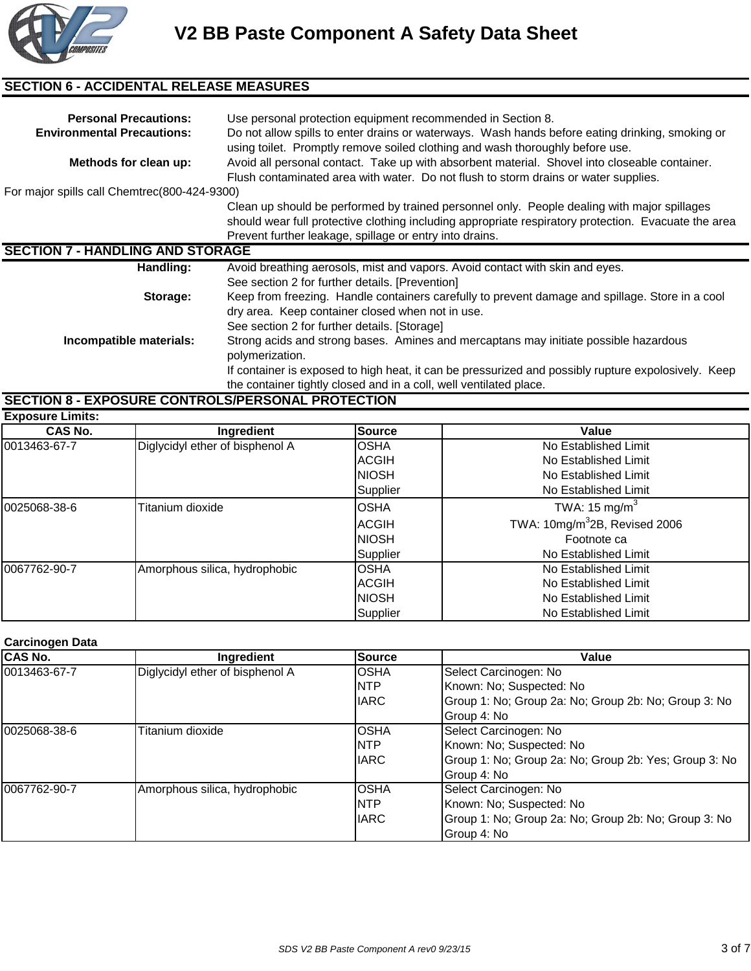

# **SECTION 6 - ACCIDENTAL RELEASE MEASURES**

| <b>Personal Precautions:</b><br><b>Environmental Precautions:</b> | Use personal protection equipment recommended in Section 8.<br>Do not allow spills to enter drains or waterways. Wash hands before eating drinking, smoking or<br>using toilet. Promptly remove soiled clothing and wash thoroughly before use.                |
|-------------------------------------------------------------------|----------------------------------------------------------------------------------------------------------------------------------------------------------------------------------------------------------------------------------------------------------------|
| Methods for clean up:                                             | Avoid all personal contact. Take up with absorbent material. Shovel into closeable container.<br>Flush contaminated area with water. Do not flush to storm drains or water supplies.                                                                           |
| For major spills call Chemtrec(800-424-9300)                      |                                                                                                                                                                                                                                                                |
|                                                                   | Clean up should be performed by trained personnel only. People dealing with major spillages<br>should wear full protective clothing including appropriate respiratory protection. Evacuate the area<br>Prevent further leakage, spillage or entry into drains. |
| <b>SECTION 7 - HANDLING AND STORAGE</b>                           |                                                                                                                                                                                                                                                                |
| Handling:                                                         | Avoid breathing aerosols, mist and vapors. Avoid contact with skin and eyes.<br>See section 2 for further details. [Prevention]                                                                                                                                |
| Storage:                                                          | Keep from freezing. Handle containers carefully to prevent damage and spillage. Store in a cool<br>dry area. Keep container closed when not in use.<br>See section 2 for further details. [Storage]                                                            |
| Incompatible materials:                                           | Strong acids and strong bases. Amines and mercaptans may initiate possible hazardous<br>polymerization.<br>If container is exposed to high heat, it can be pressurized and possibly rupture expolosively. Keep                                                 |
|                                                                   | the container tightly closed and in a coll, well ventilated place.                                                                                                                                                                                             |

# **SECTION 8 - EXPOSURE CONTROLS/PERSONAL PROTECTION**

| <b>Exposure Limits:</b> |                                 |               |                                              |  |  |  |
|-------------------------|---------------------------------|---------------|----------------------------------------------|--|--|--|
| <b>CAS No.</b>          | Ingredient                      | <b>Source</b> | Value                                        |  |  |  |
| 0013463-67-7            | Diglycidyl ether of bisphenol A | <b>OSHA</b>   | No Established Limit                         |  |  |  |
|                         |                                 | <b>ACGIH</b>  | No Established Limit                         |  |  |  |
|                         |                                 | <b>INIOSH</b> | No Established Limit                         |  |  |  |
|                         |                                 | Supplier      | No Established Limit                         |  |  |  |
| 0025068-38-6            | Titanium dioxide                | <b>OSHA</b>   | TWA: 15 mg/m <sup>3</sup>                    |  |  |  |
|                         |                                 | <b>ACGIH</b>  | TWA: $10$ mg/m <sup>3</sup> 2B, Revised 2006 |  |  |  |
|                         |                                 | <b>NIOSH</b>  | Footnote ca                                  |  |  |  |
|                         |                                 | Supplier      | No Established Limit                         |  |  |  |
| 0067762-90-7            | Amorphous silica, hydrophobic   | <b>OSHA</b>   | No Established Limit                         |  |  |  |
|                         |                                 | <b>ACGIH</b>  | No Established Limit                         |  |  |  |
|                         |                                 | <b>INIOSH</b> | No Established Limit                         |  |  |  |
|                         |                                 | Supplier      | No Established Limit                         |  |  |  |

### **Carcinogen Data**

| <b>CAS No.</b> | Ingredient                      | Source      | Value                                                 |
|----------------|---------------------------------|-------------|-------------------------------------------------------|
| 0013463-67-7   | Diglycidyl ether of bisphenol A | <b>OSHA</b> | Select Carcinogen: No                                 |
|                |                                 | <b>INTP</b> | Known: No; Suspected: No                              |
|                |                                 | <b>IARC</b> | Group 1: No; Group 2a: No; Group 2b: No; Group 3: No  |
|                |                                 |             | Group 4: No                                           |
| 0025068-38-6   | Titanium dioxide                | <b>OSHA</b> | Select Carcinogen: No                                 |
|                |                                 | <b>NTP</b>  | Known: No; Suspected: No                              |
|                |                                 | <b>IARC</b> | Group 1: No; Group 2a: No; Group 2b: Yes; Group 3: No |
|                |                                 |             | Group 4: No                                           |
| 0067762-90-7   | Amorphous silica, hydrophobic   | <b>OSHA</b> | Select Carcinogen: No                                 |
|                |                                 | <b>INTP</b> | Known: No; Suspected: No                              |
|                |                                 | <b>IARC</b> | Group 1: No; Group 2a: No; Group 2b: No; Group 3: No  |
|                |                                 |             | Group 4: No                                           |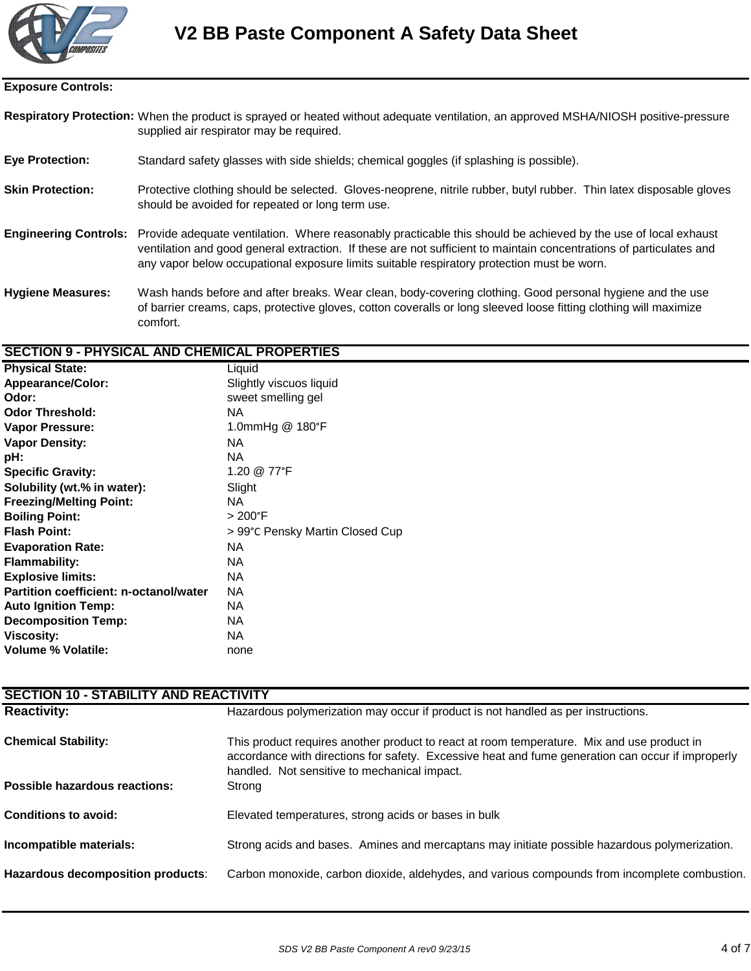

#### **Exposure Controls:**

- Respiratory Protection: When the product is sprayed or heated without adequate ventilation, an approved MSHA/NIOSH positive-pressure supplied air respirator may be required.
- **Eye Protection:** Standard safety glasses with side shields; chemical goggles (if splashing is possible).
- **Skin Protection:** Protective clothing should be selected. Gloves-neoprene, nitrile rubber, butyl rubber. Thin latex disposable gloves should be avoided for repeated or long term use.
- **Engineering Controls:** Provide adequate ventilation. Where reasonably practicable this should be achieved by the use of local exhaust ventilation and good general extraction. If these are not sufficient to maintain concentrations of particulates and any vapor below occupational exposure limits suitable respiratory protection must be worn.
- **Hygiene Measures:** Wash hands before and after breaks. Wear clean, body-covering clothing. Good personal hygiene and the use of barrier creams, caps, protective gloves, cotton coveralls or long sleeved loose fitting clothing will maximize comfort.

#### **SECTION 9 - PHYSICAL AND CHEMICAL PROPERTIES**

| <b>Physical State:</b>                 | Liquid                          |
|----------------------------------------|---------------------------------|
| Appearance/Color:                      | Slightly viscuos liquid         |
| Odor:                                  | sweet smelling gel              |
| <b>Odor Threshold:</b>                 | NA.                             |
| Vapor Pressure:                        | 1.0mmHg @ 180°F                 |
| <b>Vapor Density:</b>                  | <b>NA</b>                       |
| pH:                                    | <b>NA</b>                       |
| <b>Specific Gravity:</b>               | 1.20 @ 77°F                     |
| Solubility (wt.% in water):            | Slight                          |
| <b>Freezing/Melting Point:</b>         | <b>NA</b>                       |
| <b>Boiling Point:</b>                  | $>200^{\circ}$ F                |
| <b>Flash Point:</b>                    | > 99°C Pensky Martin Closed Cup |
| <b>Evaporation Rate:</b>               | <b>NA</b>                       |
| <b>Flammability:</b>                   | <b>NA</b>                       |
| <b>Explosive limits:</b>               | <b>NA</b>                       |
| Partition coefficient: n-octanol/water | <b>NA</b>                       |
| <b>Auto Ignition Temp:</b>             | <b>NA</b>                       |
| <b>Decomposition Temp:</b>             | <b>NA</b>                       |
| <b>Viscosity:</b>                      | <b>NA</b>                       |
| <b>Volume % Volatile:</b>              | none                            |
|                                        |                                 |

| <b>SECTION 10 - STABILITY AND REACTIVITY</b> |                                                                                                                                                                                                                                                 |  |  |  |
|----------------------------------------------|-------------------------------------------------------------------------------------------------------------------------------------------------------------------------------------------------------------------------------------------------|--|--|--|
| <b>Reactivity:</b>                           | Hazardous polymerization may occur if product is not handled as per instructions.                                                                                                                                                               |  |  |  |
| <b>Chemical Stability:</b>                   | This product requires another product to react at room temperature. Mix and use product in<br>accordance with directions for safety. Excessive heat and fume generation can occur if improperly<br>handled. Not sensitive to mechanical impact. |  |  |  |
| Possible hazardous reactions:                | Strong                                                                                                                                                                                                                                          |  |  |  |
| <b>Conditions to avoid:</b>                  | Elevated temperatures, strong acids or bases in bulk                                                                                                                                                                                            |  |  |  |
| Incompatible materials:                      | Strong acids and bases. Amines and mercaptans may initiate possible hazardous polymerization.                                                                                                                                                   |  |  |  |
| Hazardous decomposition products:            | Carbon monoxide, carbon dioxide, aldehydes, and various compounds from incomplete combustion.                                                                                                                                                   |  |  |  |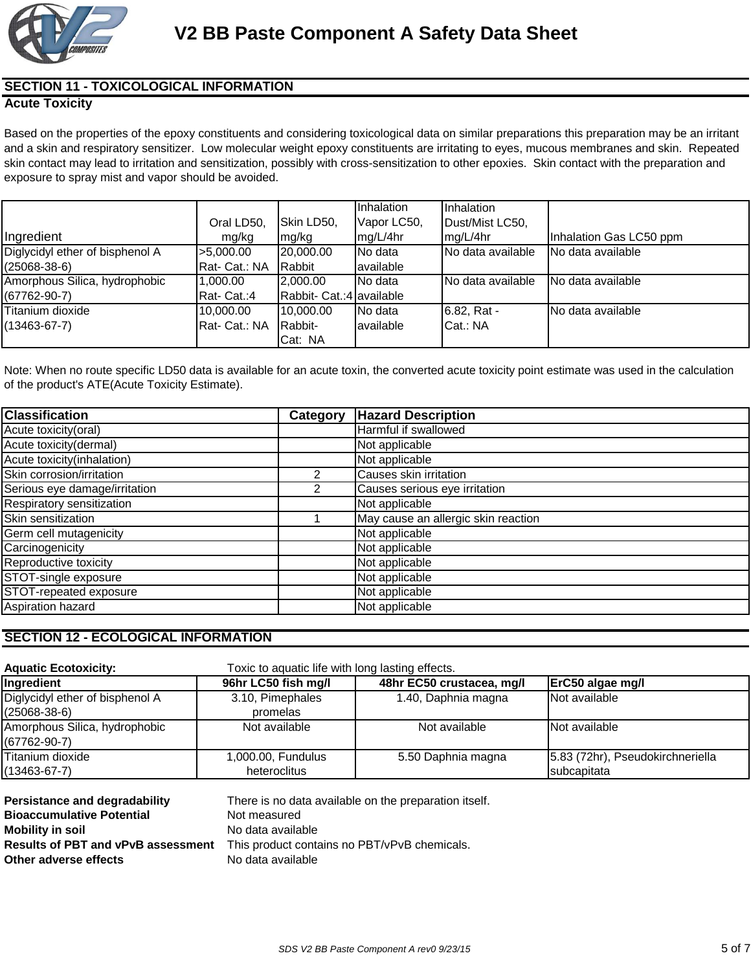

# **SECTION 11 - TOXICOLOGICAL INFORMATION**

### **Acute Toxicity**

Based on the properties of the epoxy constituents and considering toxicological data on similar preparations this preparation may be an irritant and a skin and respiratory sensitizer. Low molecular weight epoxy constituents are irritating to eyes, mucous membranes and skin. Repeated skin contact may lead to irritation and sensitization, possibly with cross-sensitization to other epoxies. Skin contact with the preparation and exposure to spray mist and vapor should be avoided.

|                                 |               |                          | Inhalation  | Inhalation         |                         |
|---------------------------------|---------------|--------------------------|-------------|--------------------|-------------------------|
|                                 | Oral LD50,    | Skin LD50,               | Vapor LC50, | Dust/Mist LC50,    |                         |
| Ingredient                      | mg/kg         | mg/kg                    | mg/L/4hr    | mg/L/4hr           | Inhalation Gas LC50 ppm |
| Diglycidyl ether of bisphenol A | >5,000.00     | 20,000,00                | No data     | INo data available | No data available       |
| $(25068 - 38 - 6)$              | Rat-Cat.: NA  | <b>Rabbit</b>            | available   |                    |                         |
| Amorphous Silica, hydrophobic   | 1,000.00      | 2.000.00                 | No data     | INo data available | No data available       |
| $(67762-90-7)$                  | Rat- Cat.:4   | Rabbit- Cat.:4 available |             |                    |                         |
| Titanium dioxide                | 10,000.00     | 10,000.00                | No data     | 6.82, Rat -        | INo data available      |
| $(13463 - 67 - 7)$              | Rat- Cat.: NA | Rabbit-                  | lavailable  | Cat.: NA           |                         |
|                                 |               | Cat: NA                  |             |                    |                         |

Note: When no route specific LD50 data is available for an acute toxin, the converted acute toxicity point estimate was used in the calculation of the product's ATE(Acute Toxicity Estimate).

| <b>Classification</b>         | Category       | <b>Hazard Description</b>           |
|-------------------------------|----------------|-------------------------------------|
| Acute toxicity (oral)         |                | Harmful if swallowed                |
| Acute toxicity(dermal)        |                | Not applicable                      |
| Acute toxicity(inhalation)    |                | Not applicable                      |
| Skin corrosion/irritation     |                | Causes skin irritation              |
| Serious eye damage/irritation | $\overline{2}$ | Causes serious eye irritation       |
| Respiratory sensitization     |                | Not applicable                      |
| Skin sensitization            |                | May cause an allergic skin reaction |
| Germ cell mutagenicity        |                | Not applicable                      |
| Carcinogenicity               |                | Not applicable                      |
| Reproductive toxicity         |                | Not applicable                      |
| STOT-single exposure          |                | Not applicable                      |
| STOT-repeated exposure        |                | Not applicable                      |
| Aspiration hazard             |                | Not applicable                      |

## **SECTION 12 - ECOLOGICAL INFORMATION**

| <b>Aquatic Ecotoxicity:</b>                           | Toxic to aquatic life with long lasting effects. |                           |                                                 |  |  |
|-------------------------------------------------------|--------------------------------------------------|---------------------------|-------------------------------------------------|--|--|
| Ingredient                                            | 96hr LC50 fish mg/l                              | 48hr EC50 crustacea, mg/l | ErC50 algae mg/l                                |  |  |
| Diglycidyl ether of bisphenol A<br>$(25068 - 38 - 6)$ | 3.10, Pimephales<br>promelas                     | 1.40, Daphnia magna       | Not available                                   |  |  |
| Amorphous Silica, hydrophobic<br>$(67762 - 90 - 7)$   | Not available                                    | Not available             | Not available                                   |  |  |
| Titanium dioxide<br>$(13463 - 67 - 7)$                | 1,000.00, Fundulus<br>heteroclitus               | 5.50 Daphnia magna        | 5.83 (72hr), Pseudokirchneriella<br>subcapitata |  |  |
|                                                       |                                                  |                           |                                                 |  |  |

| Persistance and degradability             | There is no data available on the preparation itself. |
|-------------------------------------------|-------------------------------------------------------|
| <b>Bioaccumulative Potential</b>          | Not measured                                          |
| <b>Mobility in soil</b>                   | No data available                                     |
| <b>Results of PBT and vPvB assessment</b> | This product contains no PBT/vPvB chemicals.          |
| Other adverse effects                     | No data available                                     |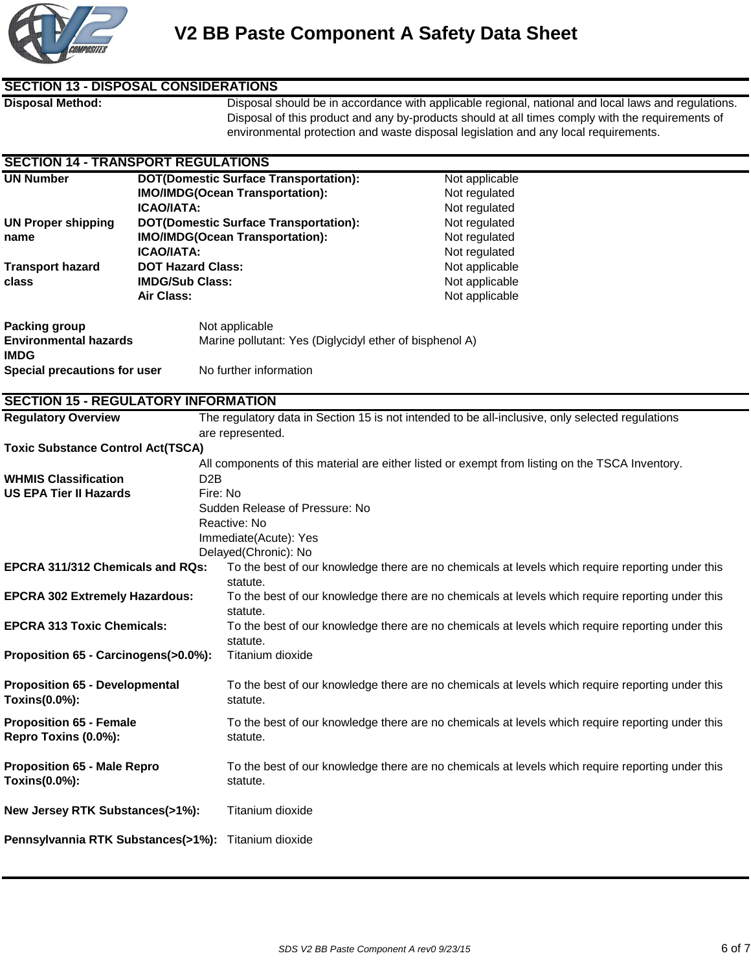

### **SECTION 13 - DISPOSAL CONSIDERATIONS**

**Disposal Method:** Disposal should be in accordance with applicable regional, national and local laws and regulations. Disposal of this product and any by-products should at all times comply with the requirements of environmental protection and waste disposal legislation and any local requirements.

### **SECTION 14 - TRANSPORT REGULATIONS**

| <b>UN Number</b>                                    |                          | <b>DOT(Domestic Surface Transportation):</b>                                                     | Not applicable                                                                                   |  |  |
|-----------------------------------------------------|--------------------------|--------------------------------------------------------------------------------------------------|--------------------------------------------------------------------------------------------------|--|--|
|                                                     |                          | <b>IMO/IMDG(Ocean Transportation):</b>                                                           | Not regulated                                                                                    |  |  |
|                                                     | <b>ICAO/IATA:</b>        |                                                                                                  | Not regulated                                                                                    |  |  |
| <b>UN Proper shipping</b>                           |                          | <b>DOT(Domestic Surface Transportation):</b>                                                     | Not regulated                                                                                    |  |  |
| name                                                |                          | <b>IMO/IMDG(Ocean Transportation):</b>                                                           | Not regulated                                                                                    |  |  |
| <b>ICAO/IATA:</b>                                   |                          |                                                                                                  | Not regulated                                                                                    |  |  |
|                                                     | <b>DOT Hazard Class:</b> |                                                                                                  |                                                                                                  |  |  |
| <b>Transport hazard</b>                             |                          |                                                                                                  | Not applicable                                                                                   |  |  |
| class                                               | <b>IMDG/Sub Class:</b>   |                                                                                                  | Not applicable                                                                                   |  |  |
|                                                     | Air Class:               |                                                                                                  | Not applicable                                                                                   |  |  |
| Packing group                                       |                          | Not applicable                                                                                   |                                                                                                  |  |  |
| <b>Environmental hazards</b>                        |                          |                                                                                                  |                                                                                                  |  |  |
| <b>IMDG</b>                                         |                          |                                                                                                  | Marine pollutant: Yes (Diglycidyl ether of bisphenol A)                                          |  |  |
|                                                     |                          | No further information                                                                           |                                                                                                  |  |  |
| <b>Special precautions for user</b>                 |                          |                                                                                                  |                                                                                                  |  |  |
| <b>SECTION 15 - REGULATORY INFORMATION</b>          |                          |                                                                                                  |                                                                                                  |  |  |
| <b>Regulatory Overview</b>                          |                          |                                                                                                  | The regulatory data in Section 15 is not intended to be all-inclusive, only selected regulations |  |  |
|                                                     |                          | are represented.                                                                                 |                                                                                                  |  |  |
| <b>Toxic Substance Control Act(TSCA)</b>            |                          |                                                                                                  |                                                                                                  |  |  |
|                                                     |                          |                                                                                                  |                                                                                                  |  |  |
|                                                     |                          | All components of this material are either listed or exempt from listing on the TSCA Inventory.  |                                                                                                  |  |  |
| <b>WHMIS Classification</b>                         | D <sub>2</sub> B         |                                                                                                  |                                                                                                  |  |  |
| <b>US EPA Tier II Hazards</b>                       |                          | Fire: No                                                                                         |                                                                                                  |  |  |
|                                                     |                          | Sudden Release of Pressure: No                                                                   |                                                                                                  |  |  |
|                                                     |                          | Reactive: No                                                                                     |                                                                                                  |  |  |
|                                                     |                          | Immediate(Acute): Yes                                                                            |                                                                                                  |  |  |
|                                                     |                          | Delayed(Chronic): No                                                                             |                                                                                                  |  |  |
| <b>EPCRA 311/312 Chemicals and RQs:</b>             |                          |                                                                                                  | To the best of our knowledge there are no chemicals at levels which require reporting under this |  |  |
|                                                     |                          | statute.                                                                                         |                                                                                                  |  |  |
| <b>EPCRA 302 Extremely Hazardous:</b>               |                          | To the best of our knowledge there are no chemicals at levels which require reporting under this |                                                                                                  |  |  |
|                                                     |                          | statute.                                                                                         |                                                                                                  |  |  |
| <b>EPCRA 313 Toxic Chemicals:</b>                   |                          | To the best of our knowledge there are no chemicals at levels which require reporting under this |                                                                                                  |  |  |
|                                                     |                          | statute.                                                                                         |                                                                                                  |  |  |
| Proposition 65 - Carcinogens(>0.0%):                |                          | Titanium dioxide                                                                                 |                                                                                                  |  |  |
|                                                     |                          |                                                                                                  |                                                                                                  |  |  |
| <b>Proposition 65 - Developmental</b>               |                          |                                                                                                  | To the best of our knowledge there are no chemicals at levels which require reporting under this |  |  |
| Toxins(0.0%):                                       |                          | statute.                                                                                         |                                                                                                  |  |  |
|                                                     |                          |                                                                                                  |                                                                                                  |  |  |
| <b>Proposition 65 - Female</b>                      |                          |                                                                                                  | To the best of our knowledge there are no chemicals at levels which require reporting under this |  |  |
| Repro Toxins (0.0%):                                |                          | statute.                                                                                         |                                                                                                  |  |  |
|                                                     |                          |                                                                                                  |                                                                                                  |  |  |
| <b>Proposition 65 - Male Repro</b>                  |                          |                                                                                                  | To the best of our knowledge there are no chemicals at levels which require reporting under this |  |  |
| Toxins(0.0%):                                       |                          | statute.                                                                                         |                                                                                                  |  |  |
|                                                     |                          |                                                                                                  |                                                                                                  |  |  |
| New Jersey RTK Substances(>1%):                     |                          | Titanium dioxide                                                                                 |                                                                                                  |  |  |
|                                                     |                          |                                                                                                  |                                                                                                  |  |  |
| Pennsylvannia RTK Substances(>1%): Titanium dioxide |                          |                                                                                                  |                                                                                                  |  |  |
|                                                     |                          |                                                                                                  |                                                                                                  |  |  |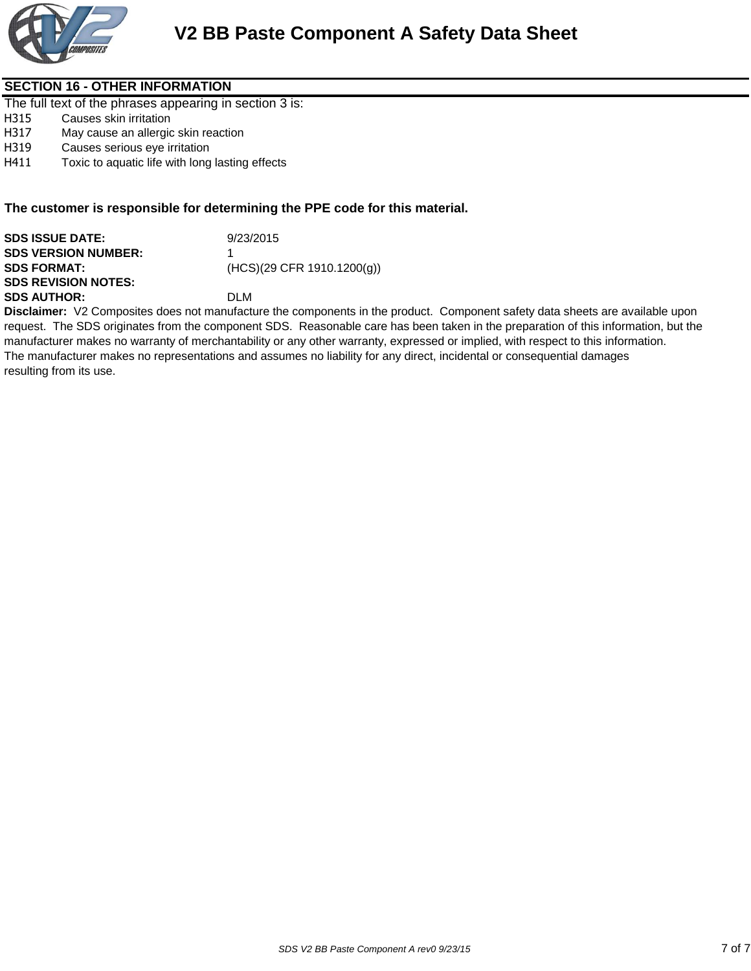

### **SECTION 16 - OTHER INFORMATION**

The full text of the phrases appearing in section 3 is:

- H315 Causes skin irritation
- H317 May cause an allergic skin reaction
- H319 Causes serious eye irritation
- H411 Toxic to aquatic life with long lasting effects

### **The customer is responsible for determining the PPE code for this material.**

| <b>SDS ISSUE DATE:</b>     | 9/23/2015                    |
|----------------------------|------------------------------|
| <b>SDS VERSION NUMBER:</b> |                              |
| <b>SDS FORMAT:</b>         | $(HCS)(29$ CFR 1910.1200(g)) |
| <b>SDS REVISION NOTES:</b> |                              |
| <b>SDS AUTHOR:</b>         | DI M                         |
|                            |                              |

**Disclaimer:** V2 Composites does not manufacture the components in the product. Component safety data sheets are available upon request. The SDS originates from the component SDS. Reasonable care has been taken in the preparation of this information, but the manufacturer makes no warranty of merchantability or any other warranty, expressed or implied, with respect to this information. The manufacturer makes no representations and assumes no liability for any direct, incidental or consequential damages resulting from its use.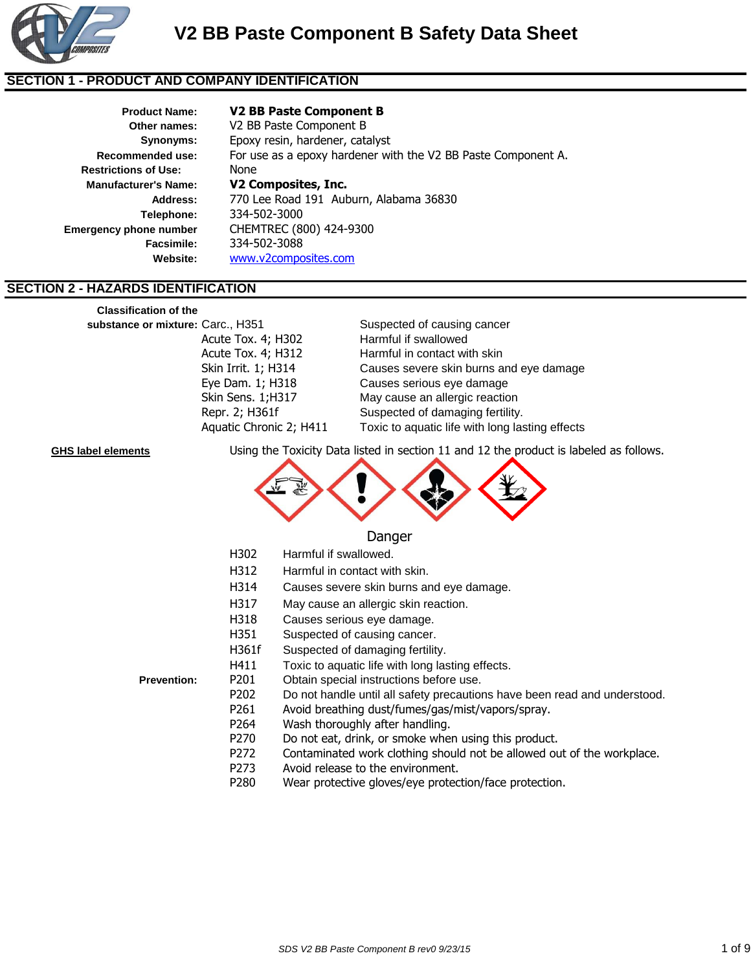

### **SECTION 1 - PRODUCT AND COMPANY IDENTIFICATION**

| Product Name:                 |
|-------------------------------|
| Other names:                  |
| <b>Synonyms:</b>              |
| Recommended use:              |
| <b>Restrictions of Use:</b>   |
| <b>Manufacturer's Name:</b>   |
| <b>Address:</b>               |
| Telephone:                    |
| <b>Emergency phone number</b> |
| <b>Facsimile:</b>             |
| Waheita:                      |

### **V2 BB Paste Component B**

**Other names:** V2 BB Paste Component B Epoxy resin, hardener, catalyst None **Manufacturer's Name: V2 Composites, Inc. Address:** 770 Lee Road 191 Auburn, Alabama 36830 **Telephone:** 334-502-3000 **Emergency phone number** CHEMTREC (800) 424-9300 **Facsimile:** 334-502-3088 **Website:** www.v2composites.com For use as a epoxy hardener with the V2 BB Paste Component A.

### **SECTION 2 - HAZARDS IDENTIFICATION**

Suspected of causing cancer Acute Tox. 4; H302 Harmful if swallowed Acute Tox. 4; H312 Harmful in contact with skin Skin Irrit. 1; H314 Causes severe skin burns and eye damage Eye Dam. 1; H318 Causes serious eye damage Skin Sens. 1;H317 May cause an allergic reaction Repr. 2; H361f Suspected of damaging fertility. Aquatic Chronic 2; H411 Toxic to aquatic life with long lasting effects **Classification of the substance or mixture:**

**GHS label elements** Using the Toxicity Data listed in section 11 and 12 the product is labeled as follows.



### Danger

H312 Harmful in contact with skin.

H302 Harmful if swallowed.

- H314 Causes severe skin burns and eye damage.
- H317 May cause an allergic skin reaction.
- H318 Causes serious eye damage.
- H351 Suspected of causing cancer.
- H361f Suspected of damaging fertility.
- H411 Toxic to aquatic life with long lasting effects.

**Prevention:** P201 Obtain special instructions before use.

- P202 Do not handle until all safety precautions have been read and understood.
- P261 Avoid breathing dust/fumes/gas/mist/vapors/spray.
- P264 Wash thoroughly after handling.
- P270 Do not eat, drink, or smoke when using this product.
- P272 Contaminated work clothing should not be allowed out of the workplace.
- P273 Avoid release to the environment.
- P280 Wear protective gloves/eye protection/face protection.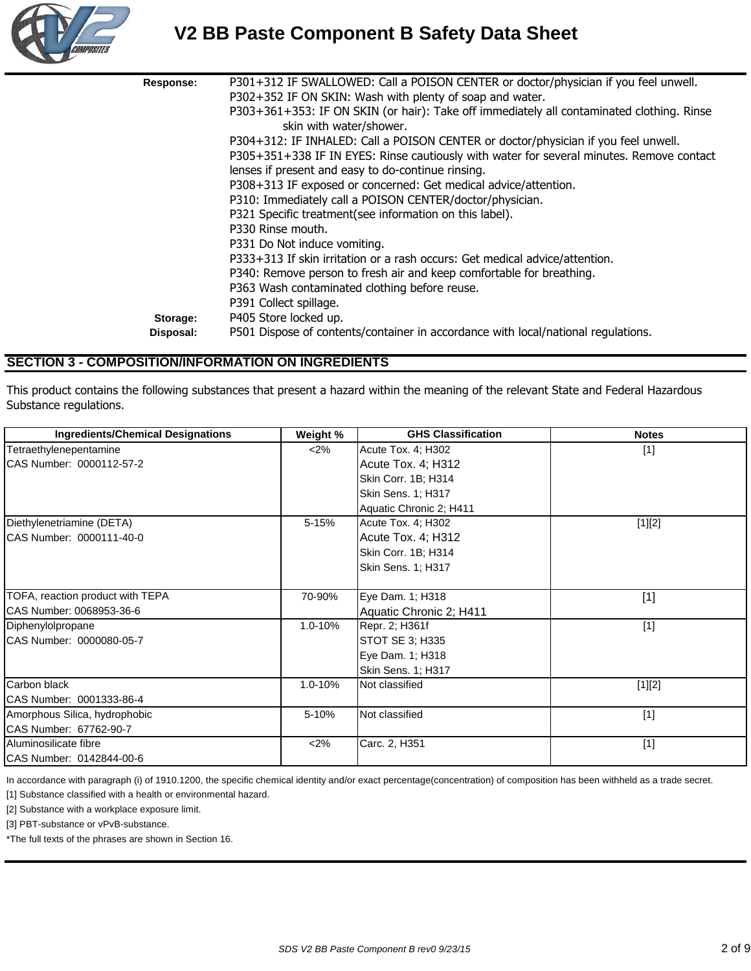

# **V2 BB Paste Component B Safety Data Sheet**

| Response: | P301+312 IF SWALLOWED: Call a POISON CENTER or doctor/physician if you feel unwell.       |
|-----------|-------------------------------------------------------------------------------------------|
|           | P302+352 IF ON SKIN: Wash with plenty of soap and water.                                  |
|           | P303+361+353: IF ON SKIN (or hair): Take off immediately all contaminated clothing. Rinse |
|           | skin with water/shower.                                                                   |
|           | P304+312: IF INHALED: Call a POISON CENTER or doctor/physician if you feel unwell.        |
|           | P305+351+338 IF IN EYES: Rinse cautiously with water for several minutes. Remove contact  |
|           | lenses if present and easy to do-continue rinsing.                                        |
|           | P308+313 IF exposed or concerned: Get medical advice/attention.                           |
|           | P310: Immediately call a POISON CENTER/doctor/physician.                                  |
|           | P321 Specific treatment (see information on this label).                                  |
|           | P330 Rinse mouth.                                                                         |
|           | P331 Do Not induce vomiting.                                                              |
|           | P333+313 If skin irritation or a rash occurs: Get medical advice/attention.               |
|           | P340: Remove person to fresh air and keep comfortable for breathing.                      |
|           | P363 Wash contaminated clothing before reuse.                                             |
|           | P391 Collect spillage.                                                                    |
| Storage:  | P405 Store locked up.                                                                     |
| Disposal: | P501 Dispose of contents/container in accordance with local/national regulations.         |

### **SECTION 3 - COMPOSITION/INFORMATION ON INGREDIENTS**

This product contains the following substances that present a hazard within the meaning of the relevant State and Federal Hazardous Substance regulations.

| <b>Ingredients/Chemical Designations</b> | Weight % | <b>GHS Classification</b> | <b>Notes</b> |
|------------------------------------------|----------|---------------------------|--------------|
| Tetraethylenepentamine                   | $<$ 2%   | Acute Tox. 4; H302        | $[1]$        |
| CAS Number: 0000112-57-2                 |          | Acute Tox. 4; H312        |              |
|                                          |          | Skin Corr. 1B; H314       |              |
|                                          |          | Skin Sens. 1; H317        |              |
|                                          |          | Aquatic Chronic 2; H411   |              |
| Diethylenetriamine (DETA)                | 5-15%    | Acute Tox. 4; H302        | $[1][2]$     |
| CAS Number: 0000111-40-0                 |          | Acute Tox. 4; H312        |              |
|                                          |          | Skin Corr. 1B; H314       |              |
|                                          |          | Skin Sens. 1; H317        |              |
| TOFA, reaction product with TEPA         | 70-90%   | Eye Dam. 1; H318          | $[1]$        |
| CAS Number: 0068953-36-6                 |          | Aquatic Chronic 2; H411   |              |
| Diphenylolpropane                        | 1.0-10%  | Repr. 2; H361f            | $[1]$        |
| CAS Number: 0000080-05-7                 |          | STOT SE 3; H335           |              |
|                                          |          | Eye Dam. 1; H318          |              |
|                                          |          | Skin Sens. 1; H317        |              |
| Carbon black                             | 1.0-10%  | Not classified            | $[1][2]$     |
| CAS Number: 0001333-86-4                 |          |                           |              |
| Amorphous Silica, hydrophobic            | 5-10%    | Not classified            | $[1]$        |
| CAS Number: 67762-90-7                   |          |                           |              |
| Aluminosilicate fibre                    | <2%      | Carc. 2, H351             | $[1]$        |
| CAS Number: 0142844-00-6                 |          |                           |              |

In accordance with paragraph (i) of 1910.1200, the specific chemical identity and/or exact percentage(concentration) of composition has been withheld as a trade secret.

[1] Substance classified with a health or environmental hazard.

[2] Substance with a workplace exposure limit.

[3] PBT-substance or vPvB-substance.

\*The full texts of the phrases are shown in Section 16.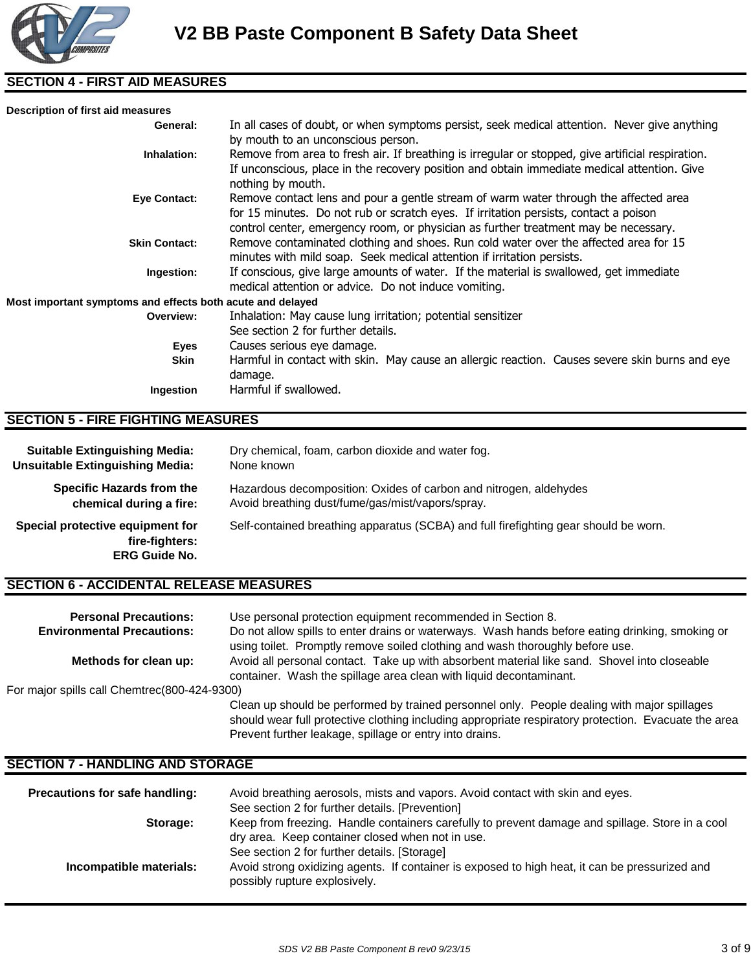

# **SECTION 4 - FIRST AID MEASURES**

| Description of first aid measures                                                                                                                                                      |                                                                                                                                                                                                                                                                     |  |
|----------------------------------------------------------------------------------------------------------------------------------------------------------------------------------------|---------------------------------------------------------------------------------------------------------------------------------------------------------------------------------------------------------------------------------------------------------------------|--|
| General:                                                                                                                                                                               | In all cases of doubt, or when symptoms persist, seek medical attention. Never give anything<br>by mouth to an unconscious person.                                                                                                                                  |  |
| Inhalation:                                                                                                                                                                            | Remove from area to fresh air. If breathing is irregular or stopped, give artificial respiration.<br>If unconscious, place in the recovery position and obtain immediate medical attention. Give<br>nothing by mouth.                                               |  |
| Eye Contact:                                                                                                                                                                           | Remove contact lens and pour a gentle stream of warm water through the affected area<br>for 15 minutes. Do not rub or scratch eyes. If irritation persists, contact a poison<br>control center, emergency room, or physician as further treatment may be necessary. |  |
| Remove contaminated clothing and shoes. Run cold water over the affected area for 15<br><b>Skin Contact:</b><br>minutes with mild soap. Seek medical attention if irritation persists. |                                                                                                                                                                                                                                                                     |  |
| If conscious, give large amounts of water. If the material is swallowed, get immediate<br>Ingestion:<br>medical attention or advice. Do not induce vomiting.                           |                                                                                                                                                                                                                                                                     |  |
| Most important symptoms and effects both acute and delayed                                                                                                                             |                                                                                                                                                                                                                                                                     |  |
| Inhalation: May cause lung irritation; potential sensitizer<br>Overview:<br>See section 2 for further details.                                                                         |                                                                                                                                                                                                                                                                     |  |
| Eyes                                                                                                                                                                                   | Causes serious eye damage.                                                                                                                                                                                                                                          |  |
| <b>Skin</b>                                                                                                                                                                            | Harmful in contact with skin. May cause an allergic reaction. Causes severe skin burns and eye<br>damage.                                                                                                                                                           |  |
| Ingestion                                                                                                                                                                              | Harmful if swallowed.                                                                                                                                                                                                                                               |  |

## **SECTION 5 - FIRE FIGHTING MEASURES**

| <b>Suitable Extinguishing Media:</b>                                       | Dry chemical, foam, carbon dioxide and water fog.                                    |
|----------------------------------------------------------------------------|--------------------------------------------------------------------------------------|
| <b>Unsuitable Extinguishing Media:</b>                                     | None known                                                                           |
| <b>Specific Hazards from the</b>                                           | Hazardous decomposition: Oxides of carbon and nitrogen, aldehydes                    |
| chemical during a fire:                                                    | Avoid breathing dust/fume/gas/mist/vapors/spray.                                     |
| Special protective equipment for<br>fire-fighters:<br><b>ERG Guide No.</b> | Self-contained breathing apparatus (SCBA) and full firefighting gear should be worn. |

### **SECTION 6 - ACCIDENTAL RELEASE MEASURES**

| <b>Personal Precautions:</b>                 | Use personal protection equipment recommended in Section 8.                                                                                                                                                                                                    |  |  |
|----------------------------------------------|----------------------------------------------------------------------------------------------------------------------------------------------------------------------------------------------------------------------------------------------------------------|--|--|
| <b>Environmental Precautions:</b>            | Do not allow spills to enter drains or waterways. Wash hands before eating drinking, smoking or<br>using toilet. Promptly remove soiled clothing and wash thoroughly before use.                                                                               |  |  |
| Methods for clean up:                        | Avoid all personal contact. Take up with absorbent material like sand. Shovel into closeable<br>container. Wash the spillage area clean with liquid decontaminant.                                                                                             |  |  |
| For major spills call Chemtrec(800-424-9300) |                                                                                                                                                                                                                                                                |  |  |
|                                              | Clean up should be performed by trained personnel only. People dealing with major spillages<br>should wear full protective clothing including appropriate respiratory protection. Evacuate the area<br>Prevent further leakage, spillage or entry into drains. |  |  |

# **SECTION 7 - HANDLING AND STORAGE**

| Precautions for safe handling: | Avoid breathing aerosols, mists and vapors. Avoid contact with skin and eyes.                                                   |  |  |
|--------------------------------|---------------------------------------------------------------------------------------------------------------------------------|--|--|
|                                | See section 2 for further details. [Prevention]                                                                                 |  |  |
| Storage:                       | Keep from freezing. Handle containers carefully to prevent damage and spillage. Store in a cool                                 |  |  |
|                                | dry area. Keep container closed when not in use.                                                                                |  |  |
|                                | See section 2 for further details. [Storage]                                                                                    |  |  |
| Incompatible materials:        | Avoid strong oxidizing agents. If container is exposed to high heat, it can be pressurized and<br>possibly rupture explosively. |  |  |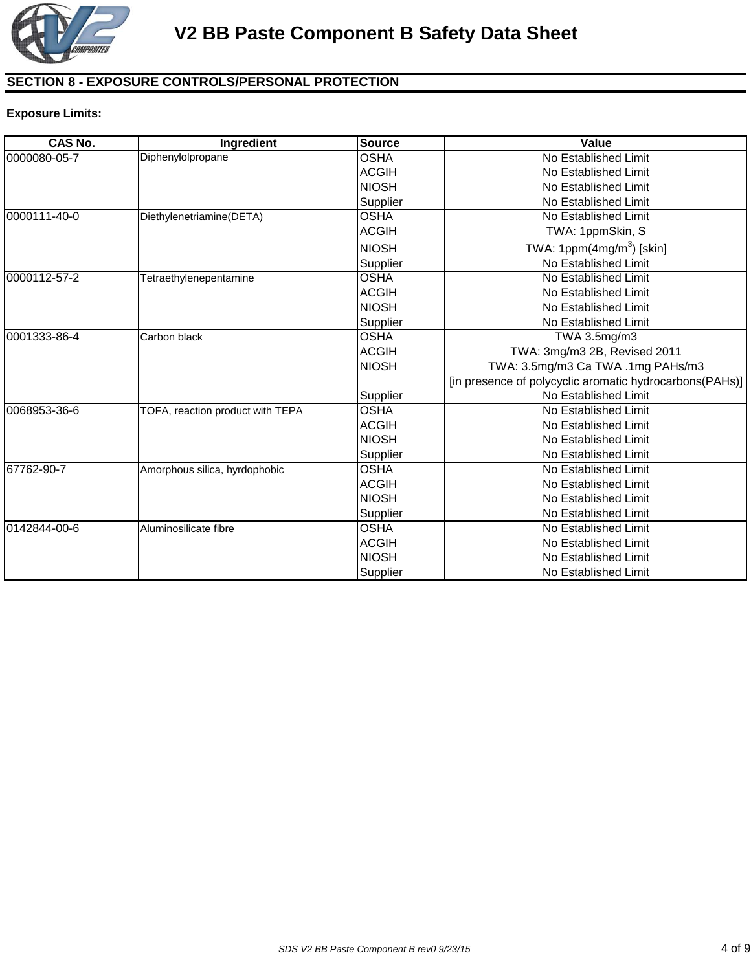

# **SECTION 8 - EXPOSURE CONTROLS/PERSONAL PROTECTION**

### **Exposure Limits:**

| <b>CAS No.</b> | Ingredient                       | <b>Source</b> | Value                                                   |
|----------------|----------------------------------|---------------|---------------------------------------------------------|
| 0000080-05-7   | Diphenylolpropane                | <b>OSHA</b>   | No Established Limit                                    |
|                |                                  | <b>ACGIH</b>  | No Established Limit                                    |
|                |                                  | <b>NIOSH</b>  | No Established Limit                                    |
|                |                                  | Supplier      | No Established Limit                                    |
| 0000111-40-0   | Diethylenetriamine(DETA)         | <b>OSHA</b>   | No Established Limit                                    |
|                |                                  | <b>ACGIH</b>  | TWA: 1ppmSkin, S                                        |
|                |                                  | <b>NIOSH</b>  | TWA: 1ppm $(4mg/m3)$ [skin]                             |
|                |                                  | Supplier      | No Established Limit                                    |
| 0000112-57-2   | Tetraethylenepentamine           | <b>OSHA</b>   | No Established Limit                                    |
|                |                                  | <b>ACGIH</b>  | No Established Limit                                    |
|                |                                  | <b>NIOSH</b>  | No Established Limit                                    |
|                |                                  | Supplier      | No Established Limit                                    |
| 0001333-86-4   | Carbon black                     | <b>OSHA</b>   | TWA 3.5mg/m3                                            |
|                |                                  | <b>ACGIH</b>  | TWA: 3mg/m3 2B, Revised 2011                            |
|                |                                  | <b>NIOSH</b>  | TWA: 3.5mg/m3 Ca TWA .1mg PAHs/m3                       |
|                |                                  |               | [in presence of polycyclic aromatic hydrocarbons(PAHs)] |
|                |                                  | Supplier      | No Established Limit                                    |
| 0068953-36-6   | TOFA, reaction product with TEPA | <b>OSHA</b>   | No Established Limit                                    |
|                |                                  | <b>ACGIH</b>  | No Established Limit                                    |
|                |                                  | <b>NIOSH</b>  | No Established Limit                                    |
|                |                                  | Supplier      | No Established Limit                                    |
| 67762-90-7     | Amorphous silica, hyrdophobic    | <b>OSHA</b>   | No Established Limit                                    |
|                |                                  | <b>ACGIH</b>  | No Established Limit                                    |
|                |                                  | <b>NIOSH</b>  | No Established Limit                                    |
|                |                                  | Supplier      | No Established Limit                                    |
| 0142844-00-6   | Aluminosilicate fibre            | <b>OSHA</b>   | No Established Limit                                    |
|                |                                  | <b>ACGIH</b>  | No Established Limit                                    |
|                |                                  | <b>NIOSH</b>  | No Established Limit                                    |
|                |                                  | Supplier      | No Established Limit                                    |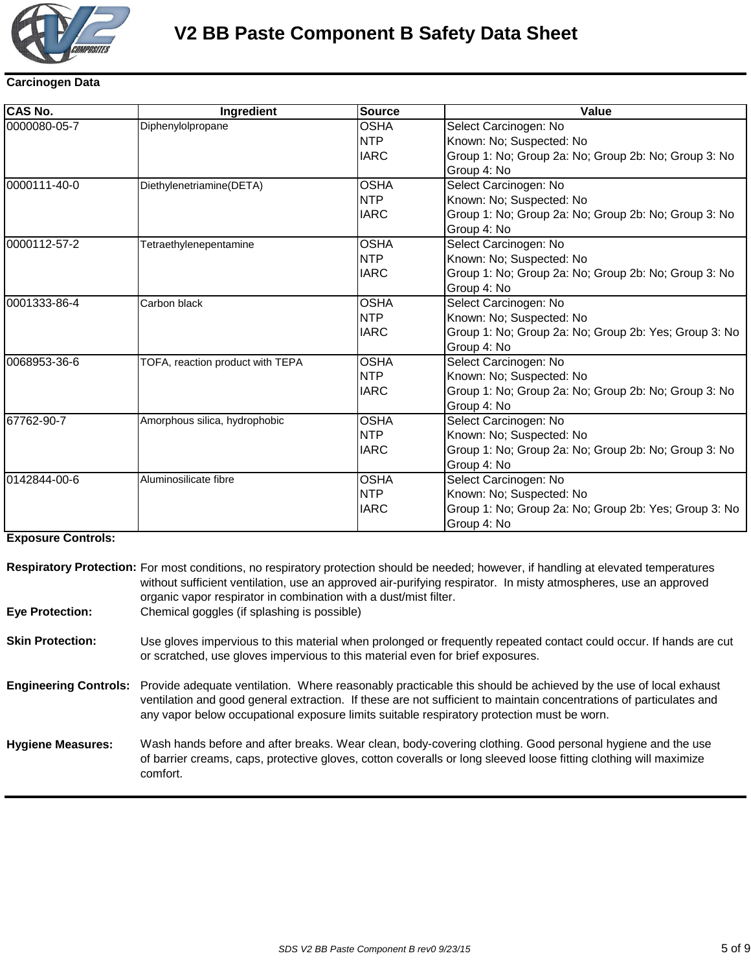

# **V2 BB Paste Component B Safety Data Sheet**

# **Carcinogen Data**

| <b>CAS No.</b> | Ingredient                       | <b>Source</b> | Value                                                 |
|----------------|----------------------------------|---------------|-------------------------------------------------------|
| 0000080-05-7   | Diphenylolpropane                | <b>OSHA</b>   | Select Carcinogen: No                                 |
|                |                                  | <b>NTP</b>    | Known: No; Suspected: No                              |
|                |                                  | <b>IARC</b>   | Group 1: No; Group 2a: No; Group 2b: No; Group 3: No  |
|                |                                  |               | Group 4: No                                           |
| 0000111-40-0   | Diethylenetriamine(DETA)         | <b>OSHA</b>   | Select Carcinogen: No                                 |
|                |                                  | <b>NTP</b>    | Known: No; Suspected: No                              |
|                |                                  | <b>IARC</b>   | Group 1: No; Group 2a: No; Group 2b: No; Group 3: No  |
|                |                                  |               | Group 4: No                                           |
| 0000112-57-2   | Tetraethylenepentamine           | <b>OSHA</b>   | Select Carcinogen: No                                 |
|                |                                  | <b>NTP</b>    | Known: No; Suspected: No                              |
|                |                                  | <b>IARC</b>   | Group 1: No; Group 2a: No; Group 2b: No; Group 3: No  |
|                |                                  |               | Group 4: No                                           |
| 0001333-86-4   | Carbon black                     | <b>OSHA</b>   | Select Carcinogen: No                                 |
|                |                                  | <b>NTP</b>    | Known: No; Suspected: No                              |
|                |                                  | <b>IARC</b>   | Group 1: No; Group 2a: No; Group 2b: Yes; Group 3: No |
|                |                                  |               | Group 4: No                                           |
| 0068953-36-6   | TOFA, reaction product with TEPA | <b>OSHA</b>   | Select Carcinogen: No                                 |
|                |                                  | <b>NTP</b>    | Known: No; Suspected: No                              |
|                |                                  | <b>IARC</b>   | Group 1: No; Group 2a: No; Group 2b: No; Group 3: No  |
|                |                                  |               | Group 4: No                                           |
| 67762-90-7     | Amorphous silica, hydrophobic    | <b>OSHA</b>   | Select Carcinogen: No                                 |
|                |                                  | <b>NTP</b>    | Known: No; Suspected: No                              |
|                |                                  | <b>IARC</b>   | Group 1: No; Group 2a: No; Group 2b: No; Group 3: No  |
|                |                                  |               | Group 4: No                                           |
| 0142844-00-6   | Aluminosilicate fibre            | <b>OSHA</b>   | Select Carcinogen: No                                 |
|                |                                  | <b>NTP</b>    | Known: No; Suspected: No                              |
|                |                                  | <b>IARC</b>   | Group 1: No; Group 2a: No; Group 2b: Yes; Group 3: No |
|                |                                  |               | Group 4: No                                           |

### **Exposure Controls:**

| <b>Eye Protection:</b>   | Respiratory Protection: For most conditions, no respiratory protection should be needed; however, if handling at elevated temperatures<br>without sufficient ventilation, use an approved air-purifying respirator. In misty atmospheres, use an approved<br>organic vapor respirator in combination with a dust/mist filter.<br>Chemical goggles (if splashing is possible) |
|--------------------------|------------------------------------------------------------------------------------------------------------------------------------------------------------------------------------------------------------------------------------------------------------------------------------------------------------------------------------------------------------------------------|
| <b>Skin Protection:</b>  | Use gloves impervious to this material when prolonged or frequently repeated contact could occur. If hands are cut<br>or scratched, use gloves impervious to this material even for brief exposures.                                                                                                                                                                         |
|                          | Engineering Controls: Provide adequate ventilation. Where reasonably practicable this should be achieved by the use of local exhaust<br>ventilation and good general extraction. If these are not sufficient to maintain concentrations of particulates and<br>any vapor below occupational exposure limits suitable respiratory protection must be worn.                    |
| <b>Hygiene Measures:</b> | Wash hands before and after breaks. Wear clean, body-covering clothing. Good personal hygiene and the use<br>of barrier creams, caps, protective gloves, cotton coveralls or long sleeved loose fitting clothing will maximize<br>comfort.                                                                                                                                   |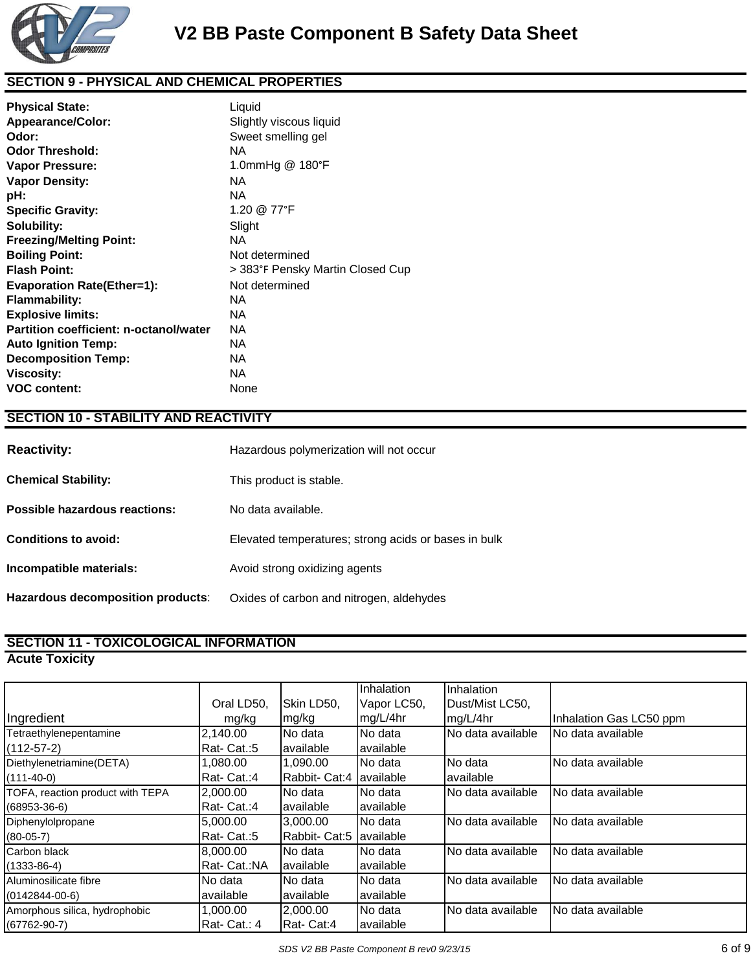

# **SECTION 9 - PHYSICAL AND CHEMICAL PROPERTIES**

| <b>Physical State:</b>                 | Liquid                           |
|----------------------------------------|----------------------------------|
| Appearance/Color:                      | Slightly viscous liquid          |
| Odor:                                  | Sweet smelling gel               |
| <b>Odor Threshold:</b>                 | NA                               |
| <b>Vapor Pressure:</b>                 | 1.0mmHg @ 180°F                  |
| <b>Vapor Density:</b>                  | NA                               |
| pH:                                    | <b>NA</b>                        |
| <b>Specific Gravity:</b>               | 1.20 @ 77°F                      |
| Solubility:                            | Slight                           |
| <b>Freezing/Melting Point:</b>         | NA.                              |
| <b>Boiling Point:</b>                  | Not determined                   |
| <b>Flash Point:</b>                    | > 383°F Pensky Martin Closed Cup |
| <b>Evaporation Rate(Ether=1):</b>      | Not determined                   |
| <b>Flammability:</b>                   | NA.                              |
| <b>Explosive limits:</b>               | NA.                              |
| Partition coefficient: n-octanol/water | NA.                              |
| <b>Auto Ignition Temp:</b>             | NA.                              |
| <b>Decomposition Temp:</b>             | NA                               |
| <b>Viscosity:</b>                      | NA                               |
| <b>VOC content:</b>                    | None                             |

### **SECTION 10 - STABILITY AND REACTIVITY**

| <b>Reactivity:</b>                | Hazardous polymerization will not occur              |
|-----------------------------------|------------------------------------------------------|
| <b>Chemical Stability:</b>        | This product is stable.                              |
| Possible hazardous reactions:     | No data available.                                   |
| <b>Conditions to avoid:</b>       | Elevated temperatures; strong acids or bases in bulk |
| Incompatible materials:           | Avoid strong oxidizing agents                        |
| Hazardous decomposition products: | Oxides of carbon and nitrogen, aldehydes             |

# **SECTION 11 - TOXICOLOGICAL INFORMATION**

**Acute Toxicity**

|                                  |              |               | Inhalation  | Inhalation        |                         |
|----------------------------------|--------------|---------------|-------------|-------------------|-------------------------|
|                                  | Oral LD50,   | Skin LD50,    | Vapor LC50, | Dust/Mist LC50,   |                         |
| Ingredient                       | mg/kg        | mg/kg         | mg/L/4hr    | mg/L/4hr          | Inhalation Gas LC50 ppm |
| Tetraethylenepentamine           | 2.140.00     | No data       | No data     | No data available | No data available       |
| $(112-57-2)$                     | Rat-Cat.:5   | available     | available   |                   |                         |
| Diethylenetriamine(DETA)         | 0.080, 00    | 1,090.00      | No data     | No data           | No data available       |
| $(111-40-0)$                     | Rat-Cat.:4   | Rabbit- Cat:4 | available   | lavailable        |                         |
| TOFA, reaction product with TEPA | 2,000.00     | No data       | No data     | No data available | No data available       |
| $(68953 - 36 - 6)$               | Rat-Cat.:4   | available     | available   |                   |                         |
| Diphenylolpropane                | 5.000.00     | 3.000.00      | No data     | No data available | No data available       |
| $(80-05-7)$                      | Rat-Cat.:5   | Rabbit- Cat:5 | lavailable  |                   |                         |
| Carbon black                     | 8,000.00     | No data       | No data     | No data available | No data available       |
| $(1333 - 86 - 4)$                | Rat- Cat.:NA | available     | available   |                   |                         |
| Aluminosilicate fibre            | No data      | No data       | No data     | No data available | No data available       |
| $(0142844 - 00 - 6)$             | available    | available     | available   |                   |                         |
| Amorphous silica, hydrophobic    | .000.00      | 2,000.00      | No data     | No data available | No data available       |
| $(67762 - 90 - 7)$               | Rat-Cat.: 4  | Rat-Cat:4     | lavailable  |                   |                         |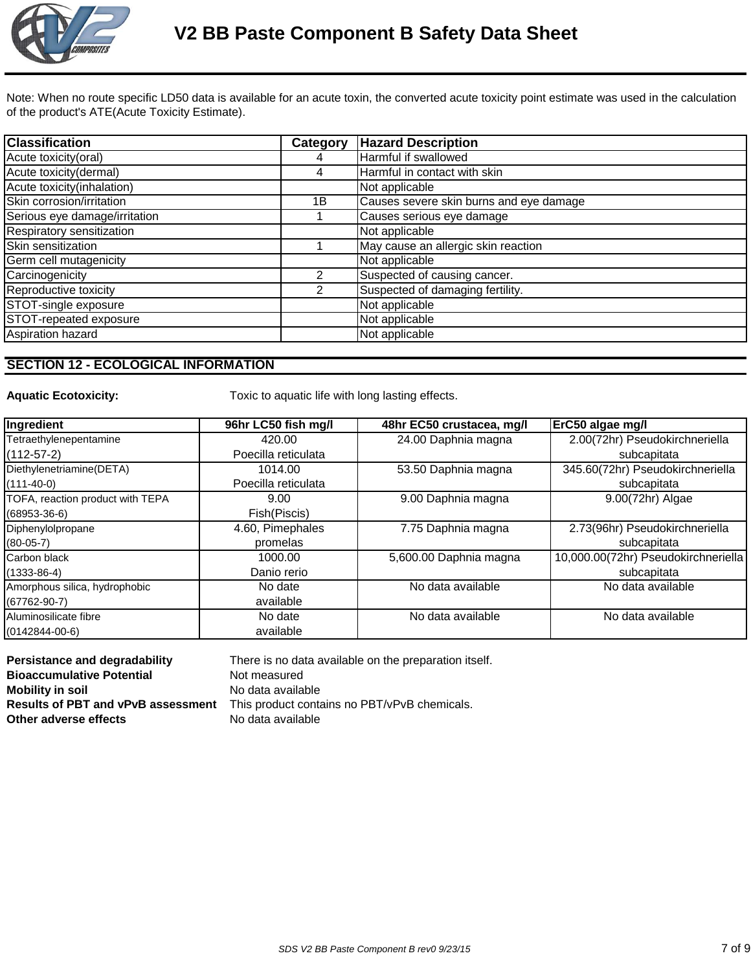

Note: When no route specific LD50 data is available for an acute toxin, the converted acute toxicity point estimate was used in the calculation of the product's ATE(Acute Toxicity Estimate).

| <b>Classification</b>         | Category | <b>Hazard Description</b>               |
|-------------------------------|----------|-----------------------------------------|
| Acute toxicity(oral)          |          | Harmful if swallowed                    |
| Acute toxicity(dermal)        | 4        | Harmful in contact with skin            |
| Acute toxicity(inhalation)    |          | Not applicable                          |
| Skin corrosion/irritation     | 1B       | Causes severe skin burns and eye damage |
| Serious eye damage/irritation |          | Causes serious eye damage               |
| Respiratory sensitization     |          | Not applicable                          |
| Skin sensitization            |          | May cause an allergic skin reaction     |
| Germ cell mutagenicity        |          | Not applicable                          |
| Carcinogenicity               | 2        | Suspected of causing cancer.            |
| Reproductive toxicity         | 2        | Suspected of damaging fertility.        |
| STOT-single exposure          |          | Not applicable                          |
| STOT-repeated exposure        |          | Not applicable                          |
| Aspiration hazard             |          | Not applicable                          |

## **SECTION 12 - ECOLOGICAL INFORMATION**

Aquatic Ecotoxicity: Toxic to aquatic life with long lasting effects.

| Ingredient                       | 96hr LC50 fish mg/l | 48hr EC50 crustacea, mg/l | ErC50 algae mg/l                    |
|----------------------------------|---------------------|---------------------------|-------------------------------------|
| Tetraethylenepentamine           | 420.00              | 24.00 Daphnia magna       | 2.00(72hr) Pseudokirchneriella      |
| $(112-57-2)$                     | Poecilla reticulata |                           | subcapitata                         |
| Diethylenetriamine(DETA)         | 1014.00             | 53.50 Daphnia magna       | 345.60(72hr) Pseudokirchneriella    |
| $(111-40-0)$                     | Poecilla reticulata |                           | subcapitata                         |
| TOFA, reaction product with TEPA | 9.00                | 9.00 Daphnia magna        | 9.00(72hr) Algae                    |
| $(68953-36-6)$                   | Fish(Piscis)        |                           |                                     |
| Diphenylolpropane                | 4.60, Pimephales    | 7.75 Daphnia magna        | 2.73(96hr) Pseudokirchneriella      |
| $(80-05-7)$                      | promelas            |                           | subcapitata                         |
| Carbon black                     | 1000.00             | 5,600.00 Daphnia magna    | 10,000.00(72hr) Pseudokirchneriella |
| $(1333 - 86 - 4)$                | Danio rerio         |                           | subcapitata                         |
| Amorphous silica, hydrophobic    | No date             | No data available         | No data available                   |
| $(67762 - 90 - 7)$               | available           |                           |                                     |
| Aluminosilicate fibre            | No date             | No data available         | No data available                   |
| $(0142844 - 00 - 6)$             | available           |                           |                                     |

**Persistance and degradability** There is no data available on the preparation itself. **Bioaccumulative Potential Motion Not measured Mobility in soil Mobility** in soil **Results of PBT and vPvB assessment** This product contains no PBT/vPvB chemicals. **Other adverse effects** No data available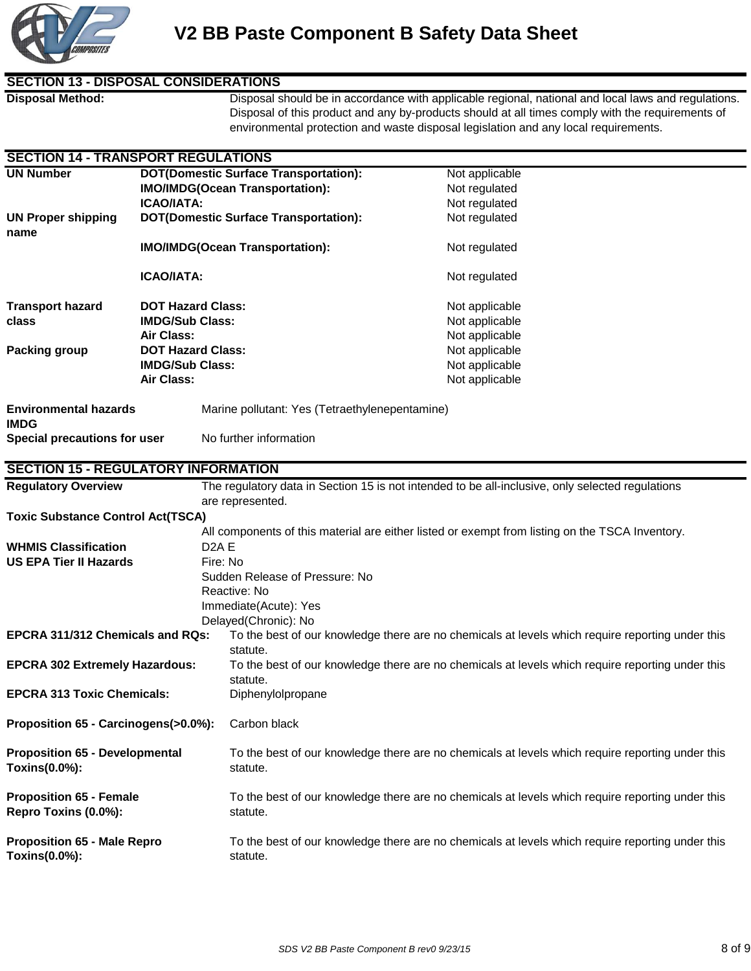

## **SECTION 13 - DISPOSAL CONSIDERATIONS**

**SECTION 14 - TRANSPORT REGULATIONS**

**Disposal Method:** Disposal should be in accordance with applicable regional, national and local laws and regulations. Disposal of this product and any by-products should at all times comply with the requirements of environmental protection and waste disposal legislation and any local requirements.

| SECTION 14 - IRANSPORT REGULATIONS         |                                        |                                                                                                  |                                                                                                  |  |  |
|--------------------------------------------|----------------------------------------|--------------------------------------------------------------------------------------------------|--------------------------------------------------------------------------------------------------|--|--|
| <b>UN Number</b>                           |                                        | <b>DOT(Domestic Surface Transportation):</b><br>Not applicable                                   |                                                                                                  |  |  |
|                                            |                                        | <b>IMO/IMDG(Ocean Transportation):</b>                                                           | Not regulated                                                                                    |  |  |
|                                            | <b>ICAO/IATA:</b>                      |                                                                                                  | Not regulated                                                                                    |  |  |
| <b>UN Proper shipping</b>                  |                                        | <b>DOT(Domestic Surface Transportation):</b>                                                     | Not regulated                                                                                    |  |  |
| name                                       |                                        |                                                                                                  |                                                                                                  |  |  |
|                                            | <b>IMO/IMDG(Ocean Transportation):</b> |                                                                                                  | Not regulated                                                                                    |  |  |
|                                            |                                        |                                                                                                  |                                                                                                  |  |  |
|                                            | <b>ICAO/IATA:</b>                      |                                                                                                  | Not regulated                                                                                    |  |  |
|                                            |                                        |                                                                                                  |                                                                                                  |  |  |
|                                            |                                        |                                                                                                  |                                                                                                  |  |  |
| <b>Transport hazard</b>                    | <b>DOT Hazard Class:</b>               |                                                                                                  | Not applicable                                                                                   |  |  |
| class                                      | <b>IMDG/Sub Class:</b>                 |                                                                                                  | Not applicable                                                                                   |  |  |
|                                            | Air Class:                             |                                                                                                  | Not applicable                                                                                   |  |  |
| <b>Packing group</b>                       | <b>DOT Hazard Class:</b>               |                                                                                                  | Not applicable                                                                                   |  |  |
|                                            | <b>IMDG/Sub Class:</b>                 |                                                                                                  | Not applicable                                                                                   |  |  |
|                                            | Air Class:                             |                                                                                                  | Not applicable                                                                                   |  |  |
|                                            |                                        |                                                                                                  |                                                                                                  |  |  |
| <b>Environmental hazards</b>               |                                        | Marine pollutant: Yes (Tetraethylenepentamine)                                                   |                                                                                                  |  |  |
| <b>IMDG</b>                                |                                        |                                                                                                  |                                                                                                  |  |  |
| Special precautions for user               |                                        | No further information                                                                           |                                                                                                  |  |  |
|                                            |                                        |                                                                                                  |                                                                                                  |  |  |
| <b>SECTION 15 - REGULATORY INFORMATION</b> |                                        |                                                                                                  |                                                                                                  |  |  |
| <b>Regulatory Overview</b>                 |                                        |                                                                                                  | The regulatory data in Section 15 is not intended to be all-inclusive, only selected regulations |  |  |
|                                            |                                        | are represented.                                                                                 |                                                                                                  |  |  |
| <b>Toxic Substance Control Act(TSCA)</b>   |                                        |                                                                                                  |                                                                                                  |  |  |
|                                            |                                        |                                                                                                  |                                                                                                  |  |  |
|                                            |                                        | All components of this material are either listed or exempt from listing on the TSCA Inventory.  |                                                                                                  |  |  |
| <b>WHMIS Classification</b>                |                                        | D <sub>2</sub> A <sub>E</sub>                                                                    |                                                                                                  |  |  |
| <b>US EPA Tier II Hazards</b>              |                                        | Fire: No                                                                                         |                                                                                                  |  |  |
|                                            |                                        | Sudden Release of Pressure: No                                                                   |                                                                                                  |  |  |
|                                            |                                        | Reactive: No                                                                                     |                                                                                                  |  |  |
|                                            |                                        | Immediate(Acute): Yes                                                                            |                                                                                                  |  |  |
|                                            |                                        | Delayed(Chronic): No                                                                             |                                                                                                  |  |  |
| EPCRA 311/312 Chemicals and RQs:           |                                        |                                                                                                  | To the best of our knowledge there are no chemicals at levels which require reporting under this |  |  |
|                                            |                                        | statute.                                                                                         |                                                                                                  |  |  |
| <b>EPCRA 302 Extremely Hazardous:</b>      |                                        | To the best of our knowledge there are no chemicals at levels which require reporting under this |                                                                                                  |  |  |
|                                            |                                        | statute.                                                                                         |                                                                                                  |  |  |
| <b>EPCRA 313 Toxic Chemicals:</b>          |                                        | Diphenylolpropane                                                                                |                                                                                                  |  |  |
|                                            |                                        |                                                                                                  |                                                                                                  |  |  |
| Proposition 65 - Carcinogens(>0.0%):       |                                        | Carbon black                                                                                     |                                                                                                  |  |  |
|                                            |                                        |                                                                                                  |                                                                                                  |  |  |
| <b>Proposition 65 - Developmental</b>      |                                        |                                                                                                  | To the best of our knowledge there are no chemicals at levels which require reporting under this |  |  |
| Toxins(0.0%):                              |                                        | statute.                                                                                         |                                                                                                  |  |  |
|                                            |                                        |                                                                                                  |                                                                                                  |  |  |
| <b>Proposition 65 - Female</b>             |                                        | To the best of our knowledge there are no chemicals at levels which require reporting under this |                                                                                                  |  |  |
| Repro Toxins (0.0%):                       |                                        | statute.                                                                                         |                                                                                                  |  |  |
|                                            |                                        |                                                                                                  |                                                                                                  |  |  |
|                                            |                                        |                                                                                                  |                                                                                                  |  |  |
| <b>Proposition 65 - Male Repro</b>         |                                        | To the best of our knowledge there are no chemicals at levels which require reporting under this |                                                                                                  |  |  |
| Toxins(0.0%):                              |                                        | statute.                                                                                         |                                                                                                  |  |  |